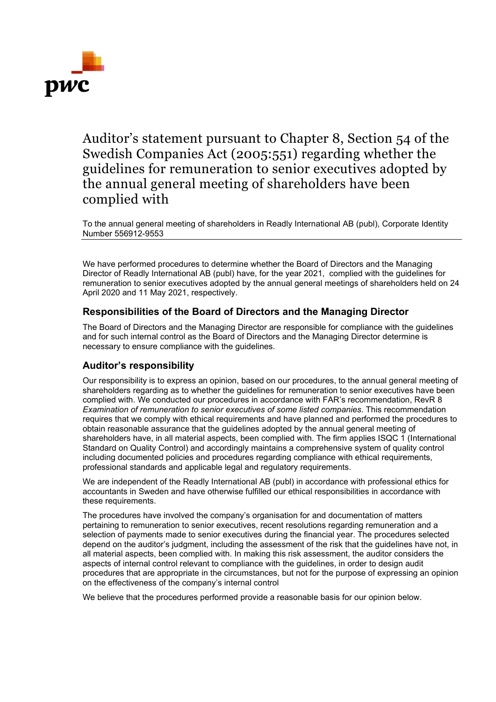

Auditor's statement pursuant to Chapter 8, Section 54 of the Swedish Companies Act (2005:551) regarding whether the guidelines for remuneration to senior executives adopted by the annual general meeting of shareholders have been complied with

To the annual general meeting of shareholders in Readly International AB (publ), Corporate Identity Number 556912-9553

We have performed procedures to determine whether the Board of Directors and the Managing Director of Readly International AB (publ) have, for the year 2021, complied with the guidelines for remuneration to senior executives adopted by the annual general meetings of shareholders held on 24 April 2020 and 11 May 2021, respectively.

## **Responsibilities of the Board of Directors and the Managing Director**

The Board of Directors and the Managing Director are responsible for compliance with the guidelines and for such internal control as the Board of Directors and the Managing Director determine is necessary to ensure compliance with the guidelines.

## **Auditor's responsibility**

Our responsibility is to express an opinion, based on our procedures, to the annual general meeting of shareholders regarding as to whether the guidelines for remuneration to senior executives have been complied with. We conducted our procedures in accordance with FAR's recommendation, RevR 8 *Examination of remuneration to senior executives of some listed companies*. This recommendation requires that we comply with ethical requirements and have planned and performed the procedures to obtain reasonable assurance that the guidelines adopted by the annual general meeting of shareholders have, in all material aspects, been complied with. The firm applies ISQC 1 (International Standard on Quality Control) and accordingly maintains a comprehensive system of quality control including documented policies and procedures regarding compliance with ethical requirements, professional standards and applicable legal and regulatory requirements.

We are independent of the Readly International AB (publ) in accordance with professional ethics for accountants in Sweden and have otherwise fulfilled our ethical responsibilities in accordance with these requirements.

The procedures have involved the company's organisation for and documentation of matters pertaining to remuneration to senior executives, recent resolutions regarding remuneration and a selection of payments made to senior executives during the financial year. The procedures selected depend on the auditor's judgment, including the assessment of the risk that the guidelines have not, in all material aspects, been complied with. In making this risk assessment, the auditor considers the aspects of internal control relevant to compliance with the guidelines, in order to design audit procedures that are appropriate in the circumstances, but not for the purpose of expressing an opinion on the effectiveness of the company's internal control

We believe that the procedures performed provide a reasonable basis for our opinion below.